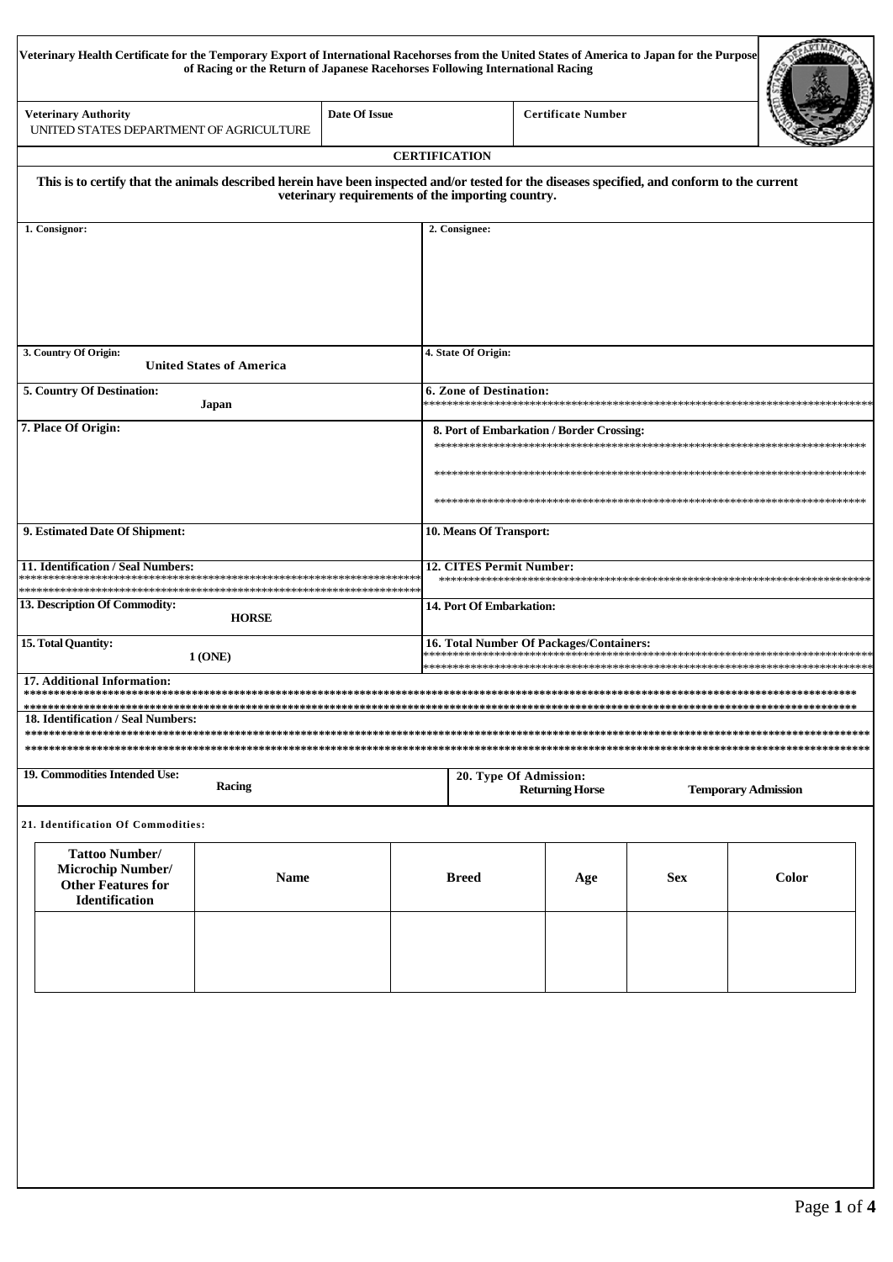| Veterinary Health Certificate for the Temporary Export of International Racehorses from the United States of America to Japan for the Purpose | of Racing or the Return of Japanese Racehorses Following International Racing |               |                                          |                                                   |                           |            |                            |  |
|-----------------------------------------------------------------------------------------------------------------------------------------------|-------------------------------------------------------------------------------|---------------|------------------------------------------|---------------------------------------------------|---------------------------|------------|----------------------------|--|
| <b>Veterinary Authority</b><br>UNITED STATES DEPARTMENT OF AGRICULTURE                                                                        |                                                                               | Date Of Issue |                                          |                                                   | <b>Certificate Number</b> |            |                            |  |
|                                                                                                                                               |                                                                               |               | <b>CERTIFICATION</b>                     |                                                   |                           |            |                            |  |
| This is to certify that the animals described herein have been inspected and/or tested for the diseases specified, and conform to the current |                                                                               |               |                                          | veterinary requirements of the importing country. |                           |            |                            |  |
| 1. Consignor:                                                                                                                                 |                                                                               |               |                                          | 2. Consignee:                                     |                           |            |                            |  |
| 3. Country Of Origin:                                                                                                                         |                                                                               |               |                                          | 4. State Of Origin:                               |                           |            |                            |  |
|                                                                                                                                               | <b>United States of America</b>                                               |               |                                          |                                                   |                           |            |                            |  |
| 5. Country Of Destination:                                                                                                                    | Japan                                                                         |               |                                          | <b>6. Zone of Destination:</b>                    |                           |            |                            |  |
| 7. Place Of Origin:                                                                                                                           |                                                                               |               |                                          | 8. Port of Embarkation / Border Crossing:         |                           |            |                            |  |
|                                                                                                                                               |                                                                               |               |                                          |                                                   |                           |            |                            |  |
|                                                                                                                                               |                                                                               |               |                                          |                                                   |                           |            |                            |  |
| 9. Estimated Date Of Shipment:                                                                                                                |                                                                               |               |                                          | 10. Means Of Transport:                           |                           |            |                            |  |
| 11. Identification / Seal Numbers:                                                                                                            |                                                                               |               | :*****                                   | 12. CITES Permit Number:                          |                           |            |                            |  |
| 13. Description Of Commodity:                                                                                                                 | <b>HORSE</b>                                                                  |               |                                          | 14. Port Of Embarkation:                          |                           |            |                            |  |
| 15. Total Quantity:<br>1 (ONE)                                                                                                                |                                                                               |               | 16. Total Number Of Packages/Containers: |                                                   |                           |            |                            |  |
| 17. Additional Information:<br><b>18. Identification / Seal Numbers:</b>                                                                      |                                                                               |               |                                          |                                                   |                           |            |                            |  |
| 19. Commodities Intended Use:                                                                                                                 | Racing                                                                        |               |                                          | 20. Type Of Admission:                            | <b>Returning Horse</b>    |            | <b>Temporary Admission</b> |  |
| 21. Identification Of Commodities:                                                                                                            |                                                                               |               |                                          |                                                   |                           |            |                            |  |
| <b>Tattoo Number/</b><br><b>Microchip Number/</b><br>$\blacksquare$ Easter                                                                    | <b>Name</b>                                                                   |               |                                          | <b>Breed</b>                                      | Age                       | <b>Sex</b> | Color                      |  |

| <b>Tattoo Number/</b><br><b>Microchip Number/</b><br><b>Other Features for</b><br><b>Identification</b> | Name | <b>Breed</b> | Age | <b>Sex</b> | <b>Color</b> |
|---------------------------------------------------------------------------------------------------------|------|--------------|-----|------------|--------------|
|                                                                                                         |      |              |     |            |              |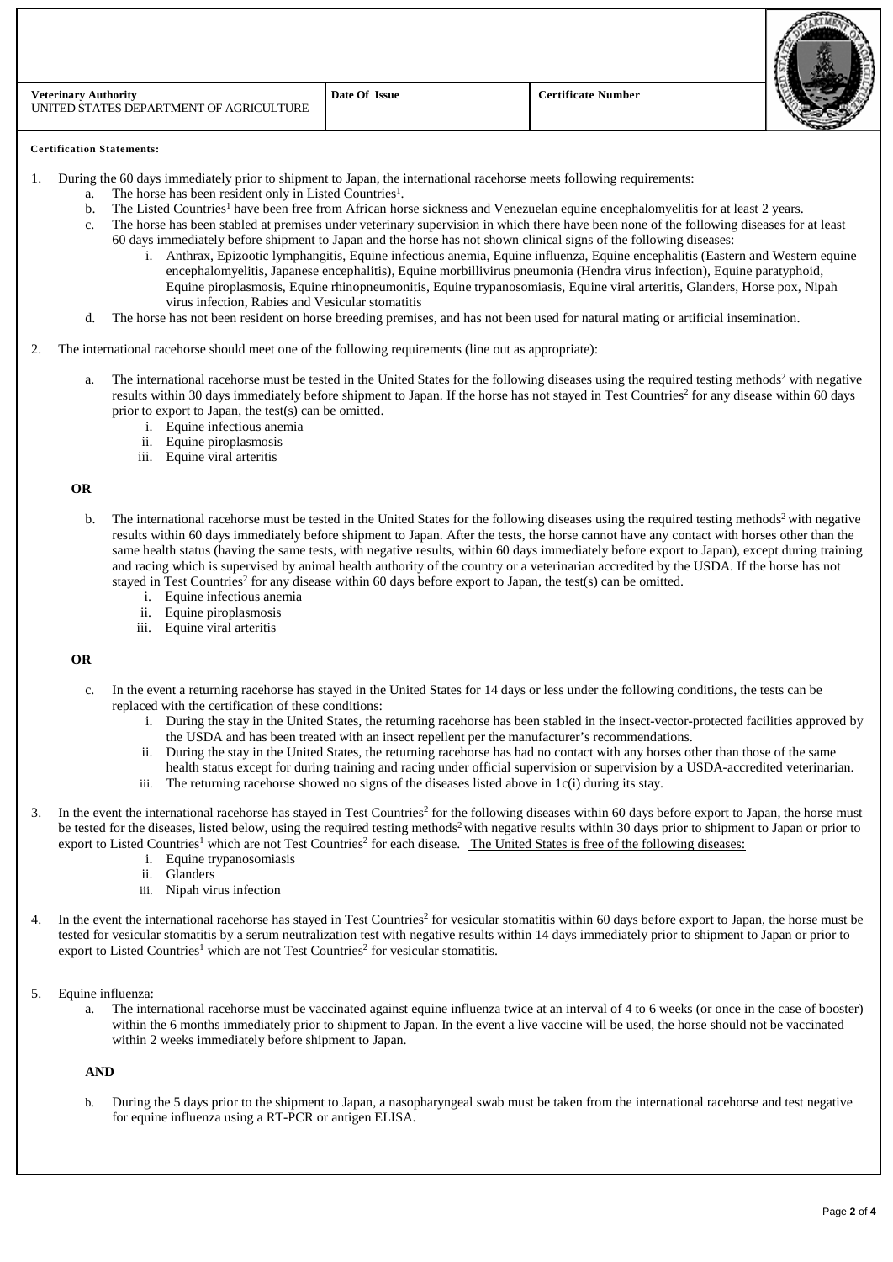| <b>Veterinary Authority</b><br>UNITED STATES DEPARTMENT OF AGRICULTURE | Date Of Issue | <b>Certificate Number</b> |  |
|------------------------------------------------------------------------|---------------|---------------------------|--|

#### **Certification Statements:**

- 1. During the 60 days immediately prior to shipment to Japan, the international racehorse meets following requirements:
	- a. The horse has been resident only in Listed Countries<sup>1</sup>.
		- b. The Listed Countries<sup>1</sup> have been free from African horse sickness and Venezuelan equine encephalomyelitis for at least 2 years.<br>C. The horse has been stabled at premises under veterinary supervision in which there have
		- The horse has been stabled at premises under veterinary supervision in which there have been none of the following diseases for at least 60 days immediately before shipment to Japan and the horse has not shown clinical signs of the following diseases:
			- i. Anthrax, Epizootic lymphangitis, Equine infectious anemia, Equine influenza, Equine encephalitis (Eastern and Western equine encephalomyelitis, Japanese encephalitis), Equine morbillivirus pneumonia (Hendra virus infection), Equine paratyphoid, Equine piroplasmosis, Equine rhinopneumonitis, Equine trypanosomiasis, Equine viral arteritis, Glanders, Horse pox, Nipah virus infection, Rabies and Vesicular stomatitis
		- d. The horse has not been resident on horse breeding premises, and has not been used for natural mating or artificial insemination.
- 2. The international racehorse should meet one of the following requirements (line out as appropriate):
	- a. The international racehorse must be tested in the United States for the following diseases using the required testing methods<sup>2</sup> with negative results within 30 days immediately before shipment to Japan. If the horse has not stayed in Test Countries<sup>2</sup> for any disease within 60 days prior to export to Japan, the test(s) can be omitted.
		- i. Equine infectious anemia
		- ii. Equine piroplasmosis
		- iii. Equine viral arteritis

### **OR**

- b. The international racehorse must be tested in the United States for the following diseases using the required testing methods<sup>2</sup> with negative results within 60 days immediately before shipment to Japan. After the tests, the horse cannot have any contact with horses other than the same health status (having the same tests, with negative results, within 60 days immediately before export to Japan), except during training and racing which is supervised by animal health authority of the country or a veterinarian accredited by the USDA. If the horse has not stayed in Test Countries<sup>2</sup> for any disease within 60 days before export to Japan, the test(s) can be omitted.
	- i. Equine infectious anemia
	- ii. Equine piroplasmosis
	- iii. Equine viral arteritis

## **OR**

- c. In the event a returning racehorse has stayed in the United States for 14 days or less under the following conditions, the tests can be replaced with the certification of these conditions:
	- i. During the stay in the United States, the returning racehorse has been stabled in the insect-vector-protected facilities approved by the USDA and has been treated with an insect repellent per the manufacturer's recommendations.
	- During the stay in the United States, the returning racehorse has had no contact with any horses other than those of the same
	- health status except for during training and racing under official supervision or supervision by a USDA-accredited veterinarian. iii. The returning racehorse showed no signs of the diseases listed above in 1c(i) during its stay.
- 3. In the event the international racehorse has stayed in Test Countries<sup>2</sup> for the following diseases within 60 days before export to Japan, the horse must be tested for the diseases, listed below, using the required testing methods<sup>2</sup> with negative results within 30 days prior to shipment to Japan or prior to export to Listed Countries<sup>1</sup> which are not Test Countries<sup>2</sup> for each disease. The United States is free of the following diseases:
	- i. Equine trypanosomiasis
	- ii. Glanders
	- iii. Nipah virus infection
- 4. In the event the international racehorse has stayed in Test Countries<sup>2</sup> for vesicular stomatitis within 60 days before export to Japan, the horse must be tested for vesicular stomatitis by a serum neutralization test with negative results within 14 days immediately prior to shipment to Japan or prior to export to Listed Countries<sup>1</sup> which are not Test Countries<sup>2</sup> for vesicular stomatitis.
- 5. Equine influenza:
	- The international racehorse must be vaccinated against equine influenza twice at an interval of 4 to 6 weeks (or once in the case of booster) within the 6 months immediately prior to shipment to Japan. In the event a live vaccine will be used, the horse should not be vaccinated within 2 weeks immediately before shipment to Japan.

# **AND**

b. During the 5 days prior to the shipment to Japan, a nasopharyngeal swab must be taken from the international racehorse and test negative for equine influenza using a RT-PCR or antigen ELISA.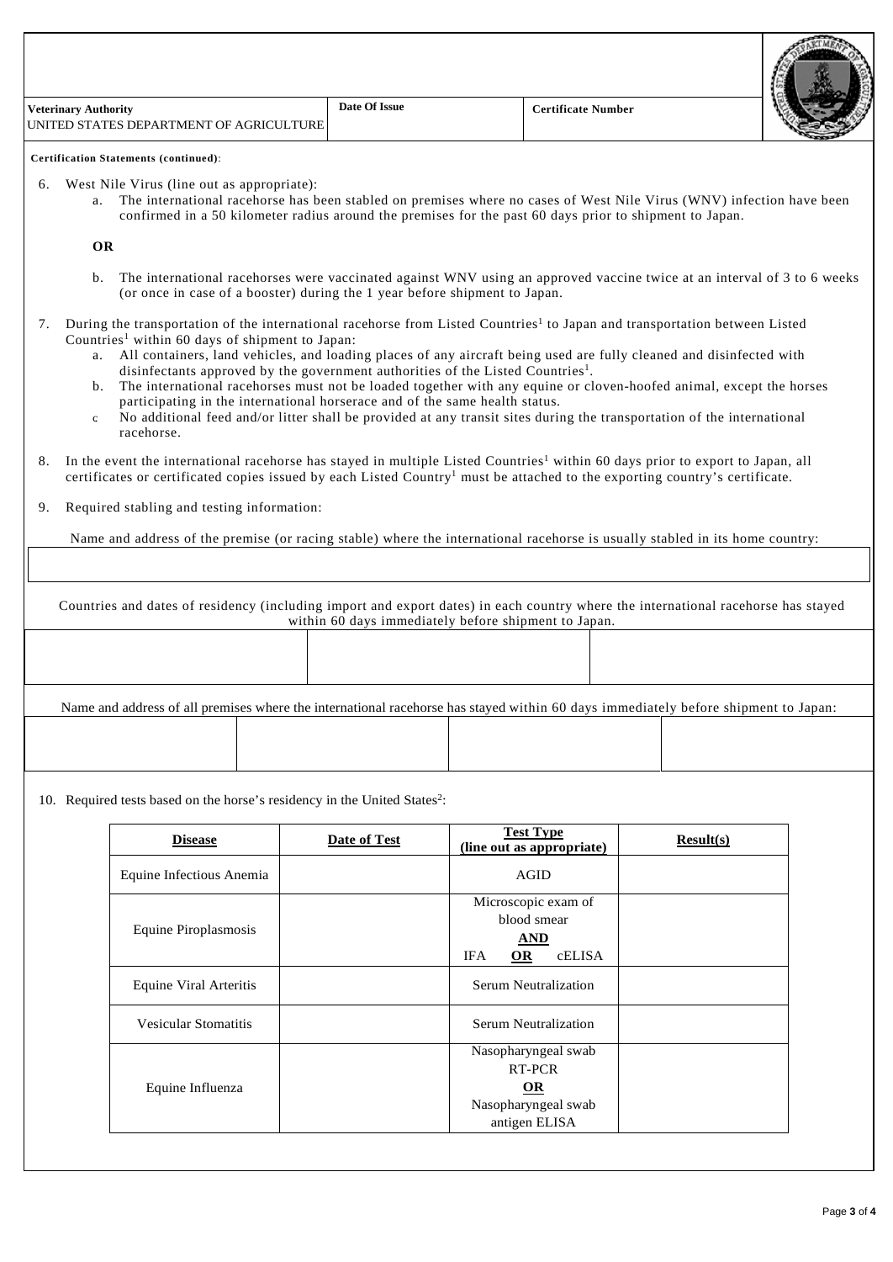| <b>Veterinary Authority</b><br>UNITED STATES DEPARTMENT OF AGRICULTURE | Date Of Issue | <b>Certificate Number</b> |  |
|------------------------------------------------------------------------|---------------|---------------------------|--|
|                                                                        |               |                           |  |

**Certification Statements (continued)**:

- 6. West Nile Virus (line out as appropriate):
	- a. The international racehorse has been stabled on premises where no cases of West Nile Virus (WNV) infection have been confirmed in a 50 kilometer radius around the premises for the past 60 days prior to shipment to Japan.

**OR**

- b. The international racehorses were vaccinated against WNV using an approved vaccine twice at an interval of 3 to 6 weeks (or once in case of a booster) during the 1 year before shipment to Japan.
- 7. During the transportation of the international racehorse from Listed Countries<sup>1</sup> to Japan and transportation between Listed Countries<sup>1</sup> within 60 days of shipment to Japan:
	- a. All containers, land vehicles, and loading places of any aircraft being used are fully cleaned and disinfected with disinfectants approved by the government authorities of the Listed Countries<sup>1</sup>.
	- b. The international racehorses must not be loaded together with any equine or cloven-hoofed animal, except the horses participating in the international horserace and of the same health status.
	- c. No additional feed and/or litter shall be provided at any transit sites during the transportation of the international racehorse.
- 8. In the event the international racehorse has stayed in multiple Listed Countries<sup>1</sup> within 60 days prior to export to Japan, all certificates or certificated copies issued by each Listed Country<sup>1</sup> must be attached to the exporting country's certificate.
- 9. Required stabling and testing information:

Name and address of the premise (or racing stable) where the international racehorse is usually stabled in its home country:

Countries and dates of residency (including import and export dates) in each country where the international racehorse has stayed within 60 days immediately before shipment to Japan.

Name and address of all premises where the international racehorse has stayed within 60 days immediately before shipment to Japan:

10. Required tests based on the horse's residency in the United States<sup>2</sup>:

| <b>Disease</b>           | <b>Date of Test</b> | <b>Test Type</b><br>(line out as appropriate)                                    | Result(s) |
|--------------------------|---------------------|----------------------------------------------------------------------------------|-----------|
| Equine Infectious Anemia |                     | <b>AGID</b>                                                                      |           |
| Equine Piroplasmosis     |                     | Microscopic exam of<br>blood smear<br><b>AND</b><br><b>IFA</b><br>cELISA<br>$OR$ |           |
| Equine Viral Arteritis   |                     | Serum Neutralization                                                             |           |
| Vesicular Stomatitis     |                     | Serum Neutralization                                                             |           |
|                          |                     | Nasopharyngeal swab<br>RT-PCR                                                    |           |
| Equine Influenza         |                     | <b>OR</b><br>Nasopharyngeal swab<br>antigen ELISA                                |           |

**CARTMENS**